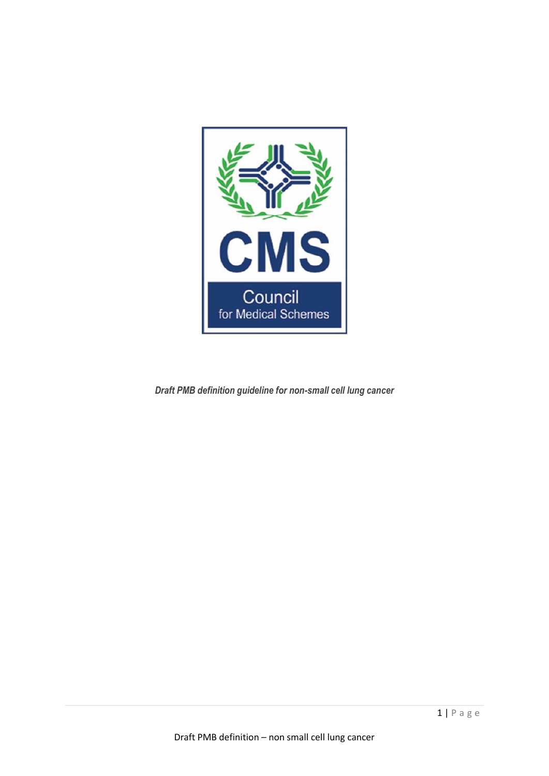

*Draft PMB definition guideline for non-small cell lung cancer*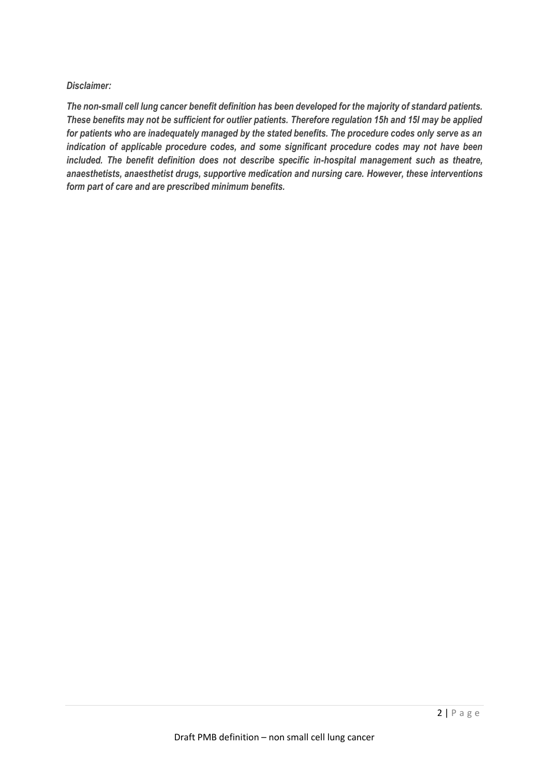### *Disclaimer:*

*The non-small cell lung cancer benefit definition has been developed for the majority of standard patients. These benefits may not be sufficient for outlier patients. Therefore regulation 15h and 15I may be applied for patients who are inadequately managed by the stated benefits. The procedure codes only serve as an indication of applicable procedure codes, and some significant procedure codes may not have been included. The benefit definition does not describe specific in-hospital management such as theatre, anaesthetists, anaesthetist drugs, supportive medication and nursing care. However, these interventions form part of care and are prescribed minimum benefits.*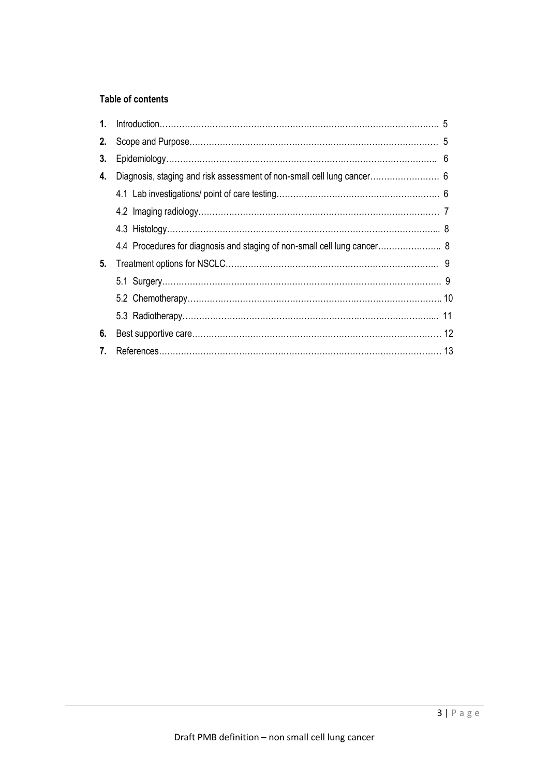# **Table of contents**

| 1. |                                                                          |  |
|----|--------------------------------------------------------------------------|--|
| 2. |                                                                          |  |
| 3. |                                                                          |  |
| 4. |                                                                          |  |
|    |                                                                          |  |
|    |                                                                          |  |
|    |                                                                          |  |
|    | 4.4 Procedures for diagnosis and staging of non-small cell lung cancer 8 |  |
| 5. |                                                                          |  |
|    |                                                                          |  |
|    |                                                                          |  |
|    |                                                                          |  |
| 6. |                                                                          |  |
| 7. |                                                                          |  |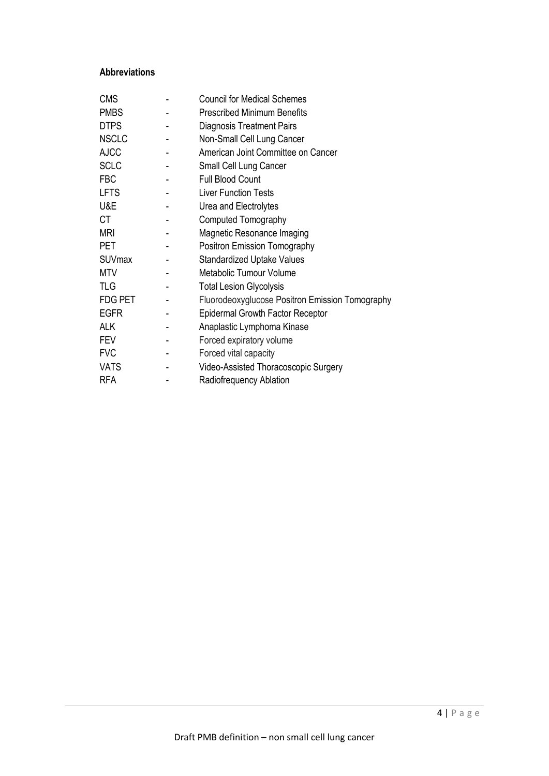## **Abbreviations**

| <b>CMS</b>     | <b>Council for Medical Schemes</b>              |
|----------------|-------------------------------------------------|
| <b>PMBS</b>    | <b>Prescribed Minimum Benefits</b>              |
| <b>DTPS</b>    | <b>Diagnosis Treatment Pairs</b>                |
| <b>NSCLC</b>   | Non-Small Cell Lung Cancer                      |
| <b>AJCC</b>    | American Joint Committee on Cancer              |
| <b>SCLC</b>    | Small Cell Lung Cancer                          |
| <b>FBC</b>     | <b>Full Blood Count</b>                         |
| <b>LFTS</b>    | <b>Liver Function Tests</b>                     |
| U&E            | Urea and Electrolytes                           |
| <b>CT</b>      | Computed Tomography                             |
| <b>MRI</b>     | Magnetic Resonance Imaging                      |
| PET            | Positron Emission Tomography                    |
| <b>SUVmax</b>  | <b>Standardized Uptake Values</b>               |
| <b>MTV</b>     | Metabolic Tumour Volume                         |
| <b>TLG</b>     | <b>Total Lesion Glycolysis</b>                  |
| <b>FDG PET</b> | Fluorodeoxyglucose Positron Emission Tomography |
| <b>EGFR</b>    | <b>Epidermal Growth Factor Receptor</b>         |
| <b>ALK</b>     | Anaplastic Lymphoma Kinase                      |
| <b>FEV</b>     | Forced expiratory volume                        |
| <b>FVC</b>     | Forced vital capacity                           |
| <b>VATS</b>    | Video-Assisted Thoracoscopic Surgery            |
| <b>RFA</b>     | Radiofrequency Ablation                         |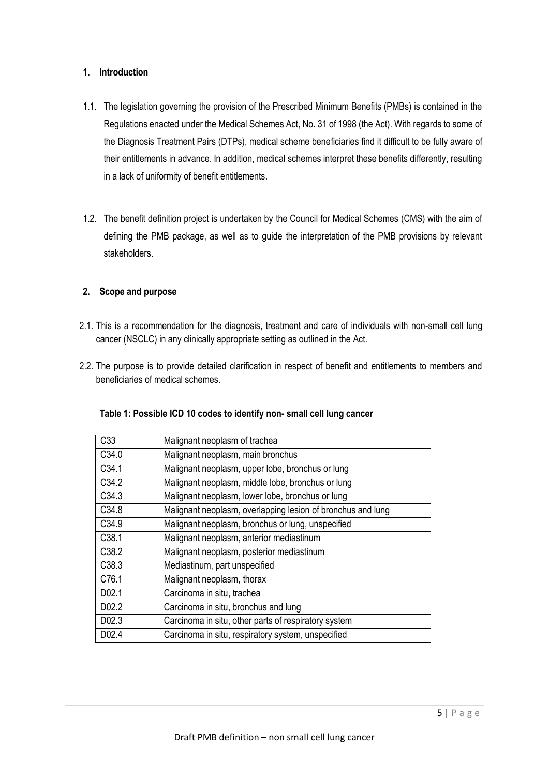# **1. Introduction**

- 1.1. The legislation governing the provision of the Prescribed Minimum Benefits (PMBs) is contained in the Regulations enacted under the Medical Schemes Act, No. 31 of 1998 (the Act). With regards to some of the Diagnosis Treatment Pairs (DTPs), medical scheme beneficiaries find it difficult to be fully aware of their entitlements in advance. In addition, medical schemes interpret these benefits differently, resulting in a lack of uniformity of benefit entitlements.
- 1.2. The benefit definition project is undertaken by the Council for Medical Schemes (CMS) with the aim of defining the PMB package, as well as to guide the interpretation of the PMB provisions by relevant stakeholders.

### **2. Scope and purpose**

- 2.1. This is a recommendation for the diagnosis, treatment and care of individuals with non-small cell lung cancer (NSCLC) in any clinically appropriate setting as outlined in the Act.
- 2.2. The purpose is to provide detailed clarification in respect of benefit and entitlements to members and beneficiaries of medical schemes.

| C <sub>33</sub>   | Malignant neoplasm of trachea                               |
|-------------------|-------------------------------------------------------------|
| C34.0             | Malignant neoplasm, main bronchus                           |
| C <sub>34.1</sub> | Malignant neoplasm, upper lobe, bronchus or lung            |
| C34.2             | Malignant neoplasm, middle lobe, bronchus or lung           |
| C34.3             | Malignant neoplasm, lower lobe, bronchus or lung            |
| C34.8             | Malignant neoplasm, overlapping lesion of bronchus and lung |
| C34.9             | Malignant neoplasm, bronchus or lung, unspecified           |
| C38.1             | Malignant neoplasm, anterior mediastinum                    |
| C38.2             | Malignant neoplasm, posterior mediastinum                   |
| C38.3             | Mediastinum, part unspecified                               |
| C76.1             | Malignant neoplasm, thorax                                  |
| D02.1             | Carcinoma in situ, trachea                                  |
| D02.2             | Carcinoma in situ, bronchus and lung                        |
| D02.3             | Carcinoma in situ, other parts of respiratory system        |
| D02.4             | Carcinoma in situ, respiratory system, unspecified          |

## **Table 1: Possible ICD 10 codes to identify non- small cell lung cancer**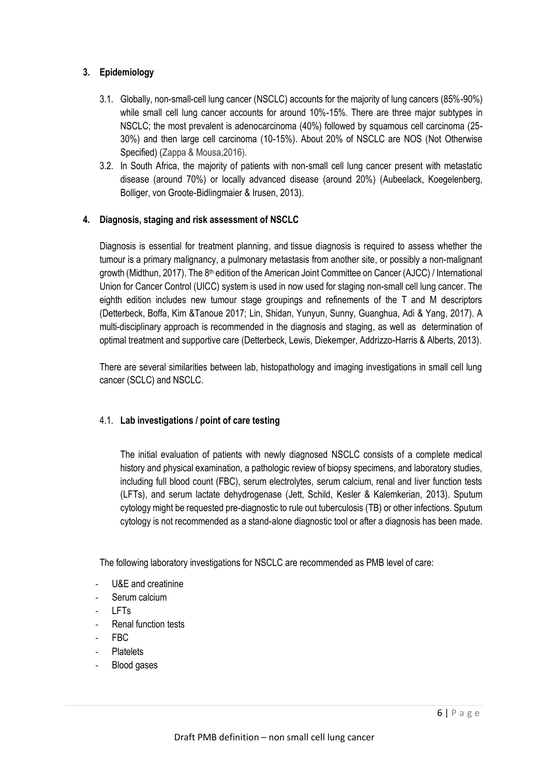## **3. Epidemiology**

- 3.1. Globally, non-small-cell lung cancer (NSCLC) accounts for the majority of lung cancers (85%-90%) while small cell lung cancer accounts for around 10%-15%. There are three major subtypes in NSCLC; the most prevalent is adenocarcinoma (40%) followed by squamous cell carcinoma (25- 30%) and then large cell carcinoma (10-15%). About 20% of NSCLC are NOS (Not Otherwise Specified) (Zappa & Mousa,2016).
- 3.2. In South Africa, the majority of patients with non-small cell lung cancer present with metastatic disease (around 70%) or locally advanced disease (around 20%) (Aubeelack, Koegelenberg, Bolliger, von Groote-Bidlingmaier & Irusen, 2013).

## **4. Diagnosis, staging and risk assessment of NSCLC**

Diagnosis is essential for treatment planning, and tissue diagnosis is required to assess whether the tumour is a primary malignancy, a pulmonary metastasis from another site, or possibly a non-malignant growth (Midthun, 2017). The 8<sup>th</sup> edition of the American Joint Committee on Cancer (AJCC) / International Union for Cancer Control (UICC) system is used in now used for staging non-small cell lung cancer. The eighth edition includes new tumour stage groupings and refinements of the T and M descriptors (Detterbeck, Boffa, Kim &Tanoue 2017; Lin, Shidan, Yunyun, Sunny, Guanghua, Adi & Yang, 2017). A multi-disciplinary approach is recommended in the diagnosis and staging, as well as determination of optimal treatment and supportive care (Detterbeck, Lewis, Diekemper, Addrizzo-Harris & Alberts, 2013).

There are several similarities between lab, histopathology and imaging investigations in small cell lung cancer (SCLC) and NSCLC.

## 4.1. **Lab investigations / point of care testing**

The initial evaluation of patients with newly diagnosed NSCLC consists of a complete medical history and physical examination, a pathologic review of biopsy specimens, and laboratory studies, including full blood count (FBC), serum electrolytes, serum calcium, renal and liver function tests (LFTs), and serum lactate dehydrogenase (Jett, Schild, Kesler & Kalemkerian, 2013). Sputum cytology might be requested pre-diagnostic to rule out tuberculosis (TB) or other infections. Sputum cytology is not recommended as a stand-alone diagnostic tool or after a diagnosis has been made.

The following laboratory investigations for NSCLC are recommended as PMB level of care:

- U&E and creatinine
- Serum calcium
- LFTs
- Renal function tests
- FBC
- **Platelets**
- Blood gases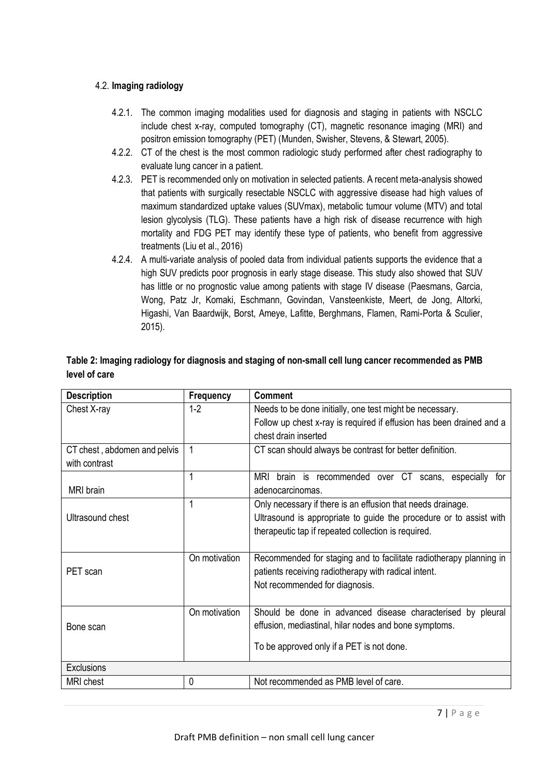## 4.2. **Imaging radiology**

MRI brain

Ultrasound chest

- 4.2.1. The common imaging modalities used for diagnosis and staging in patients with NSCLC include chest x-ray, computed tomography (CT), magnetic resonance imaging (MRI) and positron emission tomography (PET) (Munden, Swisher, Stevens, & Stewart, 2005).
- 4.2.2. CT of the chest is the most common radiologic study performed after chest radiography to evaluate lung cancer in a patient.
- 4.2.3. PET is recommended only on motivation in selected patients. A recent meta-analysis showed that patients with surgically resectable NSCLC with aggressive disease had high values of maximum standardized uptake values (SUVmax), metabolic tumour volume (MTV) and total lesion glycolysis (TLG). These patients have a high risk of disease recurrence with high mortality and FDG PET may identify these type of patients, who benefit from aggressive treatments (Liu et al., 2016)
- 4.2.4. A multi-variate analysis of pooled data from individual patients supports the evidence that a high SUV predicts poor prognosis in early stage disease. This study also showed that SUV has little or no prognostic value among patients with stage IV disease (Paesmans, Garcia, Wong, Patz Jr, Komaki, Eschmann, Govindan, Vansteenkiste, Meert, de Jong, Altorki, Higashi, Van Baardwijk, Borst, Ameye, Lafitte, Berghmans, Flamen, Rami-Porta & Sculier, 2015).

| level of care                                 |                  |                                                                                                                                                          |  |
|-----------------------------------------------|------------------|----------------------------------------------------------------------------------------------------------------------------------------------------------|--|
| <b>Description</b>                            | <b>Frequency</b> | <b>Comment</b>                                                                                                                                           |  |
| Chest X-ray                                   | 1-2              | Needs to be done initially, one test might be necessary.<br>Follow up chest x-ray is required if effusion has been drained and a<br>chest drain inserted |  |
| CT chest, abdomen and pelvis<br>with contrast |                  | CT scan should always be contrast for better definition.                                                                                                 |  |
|                                               |                  | MRI<br>for<br>over CT<br>recommended<br>especially<br>brain is<br>scans,                                                                                 |  |

adenocarcinomas.

1 Only necessary if there is an effusion that needs drainage.

therapeutic tap if repeated collection is required.

On motivation Recommended for staging and to facilitate radiotherapy planning in

Ultrasound is appropriate to guide the procedure or to assist with

# **Table 2: Imaging radiology for diagnosis and staging of non-small cell lung cancer recommended as PMB level of care**

| PET scan          | UILIIOUVAUOH  | Recommended for staging and to facilitate radiomerapy planning in<br>patients receiving radiotherapy with radical intent.<br>Not recommended for diagnosis.       |
|-------------------|---------------|-------------------------------------------------------------------------------------------------------------------------------------------------------------------|
| Bone scan         | On motivation | Should be done in advanced disease characterised by pleural<br>effusion, mediastinal, hilar nodes and bone symptoms.<br>To be approved only if a PET is not done. |
|                   |               |                                                                                                                                                                   |
| <b>Exclusions</b> |               |                                                                                                                                                                   |
| <b>MRI</b> chest  |               | Not recommended as PMB level of care.                                                                                                                             |
|                   |               |                                                                                                                                                                   |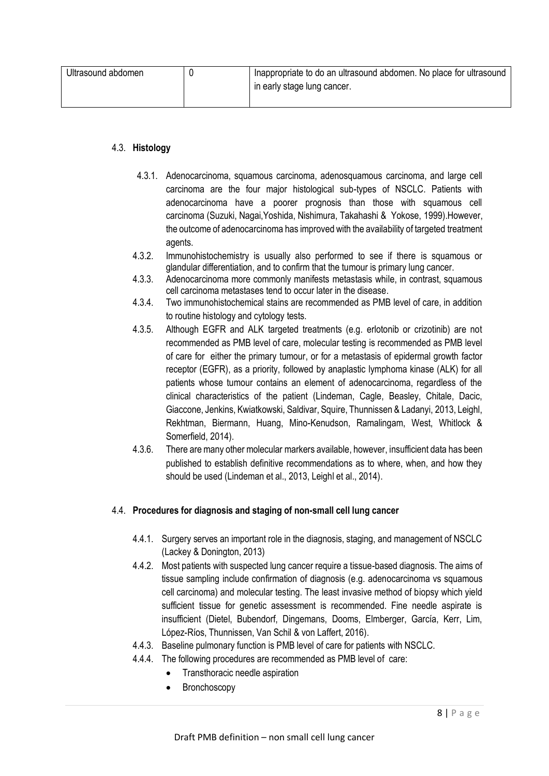| Ultrasound abdomen | Inappropriate to do an ultrasound abdomen. No place for ultrasound |
|--------------------|--------------------------------------------------------------------|
|                    | in early stage lung cancer.                                        |
|                    |                                                                    |

### 4.3. **Histology**

- 4.3.1. Adenocarcinoma, squamous carcinoma, adenosquamous carcinoma, and large cell carcinoma are the four major histological sub-types of NSCLC. Patients with adenocarcinoma have a poorer prognosis than those with squamous cell carcinoma (Suzuki, Nagai,Yoshida, Nishimura, Takahashi & Yokose, 1999).However, the outcome of adenocarcinoma has improved with the availability of targeted treatment agents.
- 4.3.2. Immunohistochemistry is usually also performed to see if there is squamous or glandular differentiation, and to confirm that the tumour is primary lung cancer.
- 4.3.3. Adenocarcinoma more commonly manifests metastasis while, in contrast, squamous cell carcinoma metastases tend to occur later in the disease.
- 4.3.4. Two immunohistochemical stains are recommended as PMB level of care, in addition to routine histology and cytology tests.
- 4.3.5. Although EGFR and ALK targeted treatments (e.g. erlotonib or crizotinib) are not recommended as PMB level of care, molecular testing is recommended as PMB level of care for either the primary tumour, or for a metastasis of epidermal growth factor receptor (EGFR), as a priority, followed by anaplastic lymphoma kinase (ALK) for all patients whose tumour contains an element of adenocarcinoma, regardless of the clinical characteristics of the patient (Lindeman, Cagle, Beasley, Chitale, Dacic, Giaccone, Jenkins, Kwiatkowski, Saldivar, Squire, Thunnissen & Ladanyi, 2013, Leighl, Rekhtman, Biermann, Huang, Mino-Kenudson, Ramalingam, West, Whitlock & Somerfield, 2014).
- 4.3.6. There are many other molecular markers available, however, insufficient data has been published to establish definitive recommendations as to where, when, and how they should be used (Lindeman et al., 2013, Leighl et al., 2014).

## 4.4. **Procedures for diagnosis and staging of non-small cell lung cancer**

- 4.4.1. Surgery serves an important role in the diagnosis, staging, and management of NSCLC (Lackey & Donington, 2013)
- 4.4.2. Most patients with suspected lung cancer require a tissue-based diagnosis. The aims of tissue sampling include confirmation of diagnosis (e.g. adenocarcinoma vs squamous cell carcinoma) and molecular testing. The least invasive method of biopsy which yield sufficient tissue for genetic assessment is recommended. Fine needle aspirate is insufficient (Dietel, Bubendorf, Dingemans, Dooms, Elmberger, García, Kerr, Lim, López-Ríos, Thunnissen, Van Schil & von Laffert, 2016).
- 4.4.3. Baseline pulmonary function is PMB level of care for patients with NSCLC.
- 4.4.4. The following procedures are recommended as PMB level of care:
	- Transthoracic needle aspiration
	- Bronchoscopy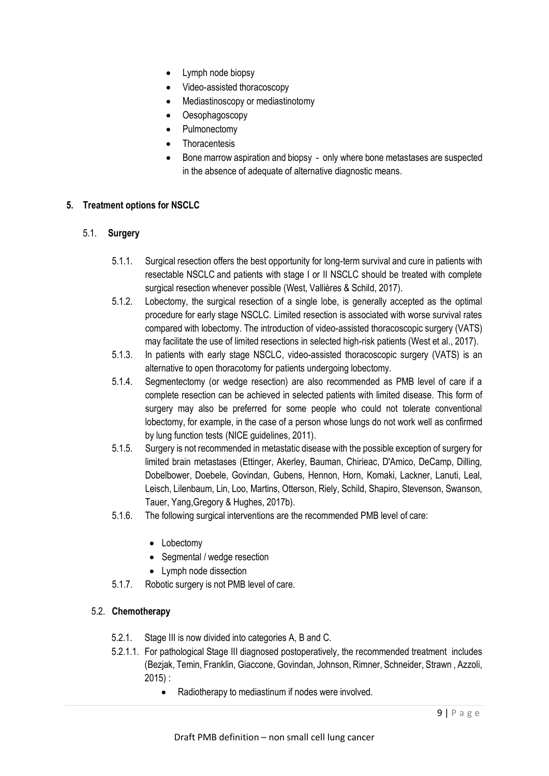- Lymph node biopsy
- Video-assisted thoracoscopy
- Mediastinoscopy or mediastinotomy
- Oesophagoscopy
- Pulmonectomy
- **Thoracentesis**
- Bone marrow aspiration and biopsy only where bone metastases are suspected in the absence of adequate of alternative diagnostic means.

## **5. Treatment options for NSCLC**

# 5.1. **Surgery**

- 5.1.1. Surgical resection offers the best opportunity for long-term survival and cure in patients with resectable NSCLC and patients with stage I or II NSCLC should be treated with complete surgical resection whenever possible (West, Vallières & Schild, 2017).
- 5.1.2. Lobectomy, the surgical resection of a single lobe, is generally accepted as the optimal procedure for early stage NSCLC. Limited resection is associated with worse survival rates compared with lobectomy. The introduction of video-assisted thoracoscopic surgery (VATS) may facilitate the use of limited resections in selected high-risk patients (West et al., 2017).
- 5.1.3. In patients with early stage NSCLC, video-assisted thoracoscopic surgery (VATS) is an alternative to open thoracotomy for patients undergoing lobectomy.
- 5.1.4. Segmentectomy (or wedge resection) are also recommended as PMB level of care if a complete resection can be achieved in selected patients with limited disease. This form of surgery may also be preferred for some people who could not tolerate conventional lobectomy, for example, in the case of a person whose lungs do not work well as confirmed by lung function tests (NICE guidelines, 2011).
- 5.1.5. Surgery is not recommended in metastatic disease with the possible exception of surgery for limited brain metastases (Ettinger, Akerley, Bauman, Chirieac, D'Amico, DeCamp, Dilling, Dobelbower, Doebele, Govindan, Gubens, Hennon, Horn, Komaki, Lackner, Lanuti, Leal, Leisch, Lilenbaum, Lin, Loo, Martins, Otterson, Riely, Schild, Shapiro, Stevenson, Swanson, Tauer, Yang,Gregory & Hughes, 2017b).
- 5.1.6. The following surgical interventions are the recommended PMB level of care:
	- Lobectomy
	- Segmental / wedge resection
	- Lymph node dissection
- 5.1.7. Robotic surgery is not PMB level of care.

## 5.2. **Chemotherapy**

- 5.2.1. Stage III is now divided into categories A, B and C.
- 5.2.1.1. For pathological Stage III diagnosed postoperatively, the recommended treatment includes (Bezjak, Temin, Franklin, Giaccone, Govindan, Johnson, Rimner, Schneider, Strawn , Azzoli, 2015) :
	- Radiotherapy to mediastinum if nodes were involved.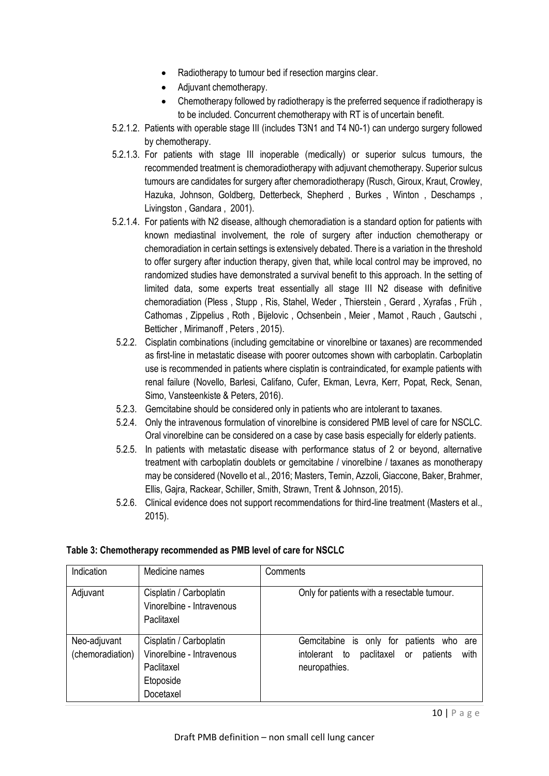- Radiotherapy to tumour bed if resection margins clear.
- Adjuvant chemotherapy.
- Chemotherapy followed by radiotherapy is the preferred sequence if radiotherapy is to be included. Concurrent chemotherapy with RT is of uncertain benefit.
- 5.2.1.2. Patients with operable stage III (includes T3N1 and T4 N0-1) can undergo surgery followed by chemotherapy.
- 5.2.1.3. For patients with stage III inoperable (medically) or superior sulcus tumours, the recommended treatment is chemoradiotherapy with adjuvant chemotherapy. Superior sulcus tumours are candidates for surgery after chemoradiotherapy (Rusch, Giroux, Kraut, Crowley, Hazuka, Johnson, Goldberg, Detterbeck, Shepherd , Burkes , Winton , Deschamps , Livingston , Gandara , 2001).
- 5.2.1.4. For patients with N2 disease, although chemoradiation is a standard option for patients with known mediastinal involvement, the role of surgery after induction chemotherapy or chemoradiation in certain settings is extensively debated. There is a variation in the threshold to offer surgery after induction therapy, given that, while local control may be improved, no randomized studies have demonstrated a survival benefit to this approach. In the setting of limited data, some experts treat essentially all stage III N2 disease with definitive chemoradiation (Pless , Stupp , Ris, Stahel, Weder , Thierstein , Gerard , Xyrafas , Früh , Cathomas , Zippelius , Roth , Bijelovic , Ochsenbein , Meier , Mamot , Rauch , Gautschi , Betticher , Mirimanoff , Peters , 2015).
- 5.2.2. Cisplatin combinations (including gemcitabine or vinorelbine or taxanes) are recommended as first-line in metastatic disease with poorer outcomes shown with carboplatin. Carboplatin use is recommended in patients where cisplatin is contraindicated, for example patients with renal failure (Novello, Barlesi, Califano, Cufer, Ekman, Levra, Kerr, Popat, Reck, Senan, Simo, Vansteenkiste & Peters, 2016).
- 5.2.3. Gemcitabine should be considered only in patients who are intolerant to taxanes.
- 5.2.4. Only the intravenous formulation of vinorelbine is considered PMB level of care for NSCLC. Oral vinorelbine can be considered on a case by case basis especially for elderly patients.
- 5.2.5. In patients with metastatic disease with performance status of 2 or beyond, alternative treatment with carboplatin doublets or gemcitabine / vinorelbine / taxanes as monotherapy may be considered (Novello et al., 2016; Masters, Temin, Azzoli, Giaccone, Baker, Brahmer, Ellis, Gajra, Rackear, Schiller, Smith, Strawn, Trent & Johnson, 2015).
- 5.2.6. Clinical evidence does not support recommendations for third-line treatment (Masters et al., 2015).

| Indication       | Medicine names                                                     | Comments                                              |
|------------------|--------------------------------------------------------------------|-------------------------------------------------------|
| Adjuvant         | Cisplatin / Carboplatin<br>Vinorelbine - Intravenous<br>Paclitaxel | Only for patients with a resectable tumour.           |
| Neo-adjuvant     | Cisplatin / Carboplatin                                            | Gemcitabine is only for<br>patients who are           |
| (chemoradiation) | Vinorelbine - Intravenous                                          | with<br>intolerant<br>to<br>paclitaxel or<br>patients |
|                  | Paclitaxel                                                         | neuropathies.                                         |
|                  | Etoposide                                                          |                                                       |
|                  | Docetaxel                                                          |                                                       |

# **Table 3: Chemotherapy recommended as PMB level of care for NSCLC**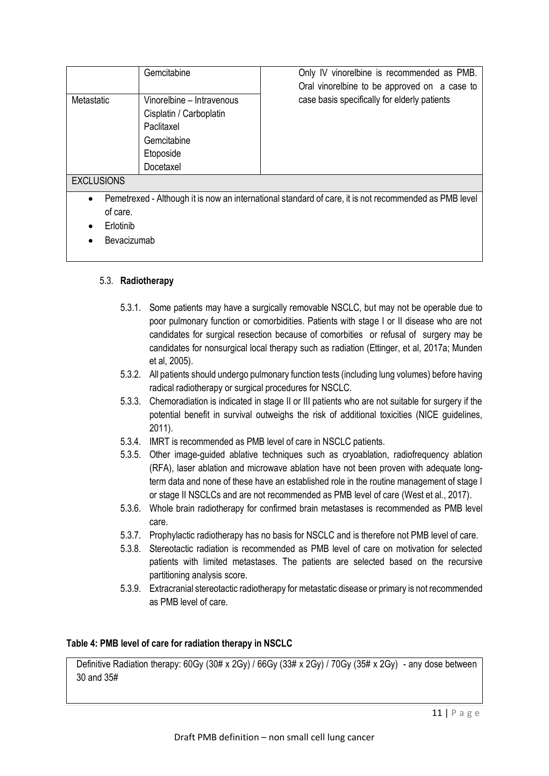|                                                                                                                                             | Gemcitabine                                                                                                 | Only IV vinorelbine is recommended as PMB.<br>Oral vinorelbine to be approved on a case to |  |
|---------------------------------------------------------------------------------------------------------------------------------------------|-------------------------------------------------------------------------------------------------------------|--------------------------------------------------------------------------------------------|--|
| Metastatic                                                                                                                                  | Vinorelbine – Intravenous<br>Cisplatin / Carboplatin<br>Paclitaxel<br>Gemcitabine<br>Etoposide<br>Docetaxel | case basis specifically for elderly patients                                               |  |
| <b>EXCLUSIONS</b>                                                                                                                           |                                                                                                             |                                                                                            |  |
| Pemetrexed - Although it is now an international standard of care, it is not recommended as PMB level<br>$\bullet$<br>of care.<br>Erlotinih |                                                                                                             |                                                                                            |  |

- **Erlotinib**
- **Bevacizumab**

# 5.3. **Radiotherapy**

- 5.3.1. Some patients may have a surgically removable NSCLC, but may not be operable due to poor pulmonary function or comorbidities. Patients with stage I or II disease who are not candidates for surgical resection because of comorbities or refusal of surgery may be candidates for nonsurgical local therapy such as radiation (Ettinger, et al, 2017a; Munden et al, 2005).
- 5.3.2. All patients should undergo pulmonary function tests (including lung volumes) before having radical radiotherapy or surgical procedures for NSCLC.
- 5.3.3. Chemoradiation is indicated in stage II or III patients who are not suitable for surgery if the potential benefit in survival outweighs the risk of additional toxicities (NICE guidelines, 2011).
- 5.3.4. IMRT is recommended as PMB level of care in NSCLC patients.
- 5.3.5. Other image-guided ablative techniques such as cryoablation, radiofrequency ablation (RFA), laser ablation and microwave ablation have not been proven with adequate longterm data and none of these have an established role in the routine management of stage I or stage II NSCLCs and are not recommended as PMB level of care (West et al., 2017).
- 5.3.6. Whole brain radiotherapy for confirmed brain metastases is recommended as PMB level care.
- 5.3.7. Prophylactic radiotherapy has no basis for NSCLC and is therefore not PMB level of care.
- 5.3.8. Stereotactic radiation is recommended as PMB level of care on motivation for selected patients with limited metastases. The patients are selected based on the recursive partitioning analysis score.
- 5.3.9. Extracranial stereotactic radiotherapy for metastatic disease or primary is not recommended as PMB level of care.

## **Table 4: PMB level of care for radiation therapy in NSCLC**

Definitive Radiation therapy: 60Gy (30# x 2Gy) / 66Gy (33# x 2Gy) / 70Gy (35# x 2Gy) - any dose between 30 and 35#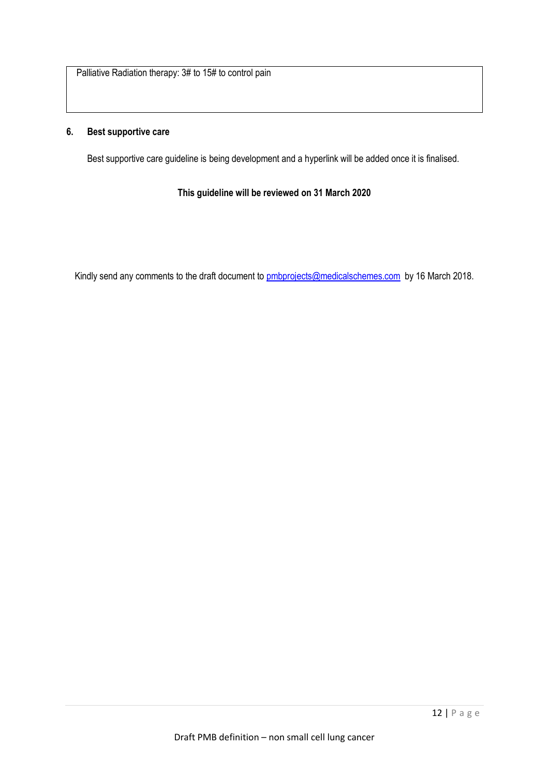Palliative Radiation therapy: 3# to 15# to control pain

#### **6. Best supportive care**

Best supportive care guideline is being development and a hyperlink will be added once it is finalised.

**This guideline will be reviewed on 31 March 2020**

Kindly send any comments to the draft document to [pmbprojects@medicalschemes.com](mailto:pmbprojects@medicalschemes.com) by 16 March 2018.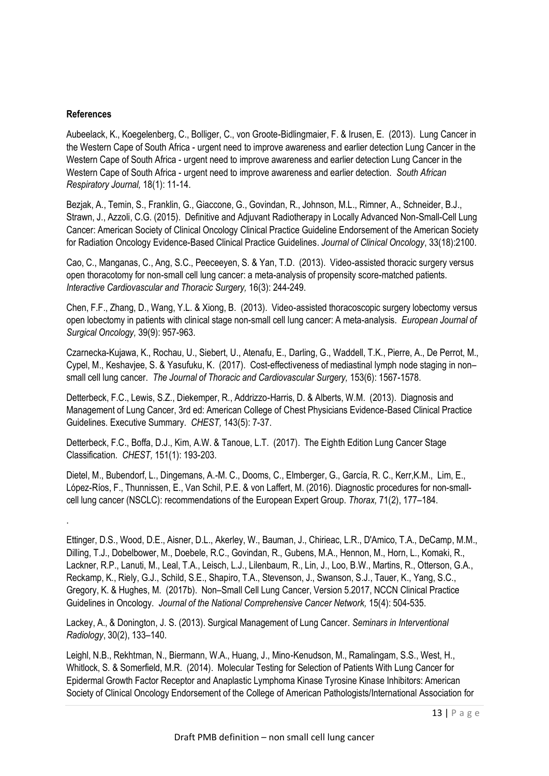#### **References**

.

Aubeelack, K., Koegelenberg, C., Bolliger, C., von Groote-Bidlingmaier, F. & Irusen, E. (2013). Lung Cancer in the Western Cape of South Africa - urgent need to improve awareness and earlier detection Lung Cancer in the Western Cape of South Africa - urgent need to improve awareness and earlier detection Lung Cancer in the Western Cape of South Africa - urgent need to improve awareness and earlier detection. *South African Respiratory Journal,* 18(1): 11-14.

Bezjak, A., Temin, S., Franklin, G., Giaccone, G., Govindan, R., Johnson, M.L., Rimner, A., Schneider, B.J., Strawn, J., Azzoli, C.G. (2015). Definitive and Adjuvant Radiotherapy in Locally Advanced Non-Small-Cell Lung Cancer: American Society of Clinical Oncology Clinical Practice Guideline Endorsement of the American Society for Radiation Oncology Evidence-Based Clinical Practice Guidelines. *Journal of Clinical Oncology*, 33(18):2100.

Cao, C., Manganas, C., Ang, S.C., Peeceeyen, S. & Yan, T.D. (2013). Video-assisted thoracic surgery versus open thoracotomy for non-small cell lung cancer: a meta-analysis of propensity score-matched patients. *Interactive Cardiovascular and Thoracic Surgery,* 16(3): 244-249.

Chen, F.F., Zhang, D., Wang, Y.L. & Xiong, B. (2013). Video-assisted thoracoscopic surgery lobectomy versus open lobectomy in patients with clinical stage non-small cell lung cancer: A meta-analysis. *European Journal of Surgical Oncology,* 39(9): 957-963.

Czarnecka-Kujawa, K., Rochau, U., Siebert, U., Atenafu, E., Darling, G., Waddell, T.K., Pierre, A., De Perrot, M., Cypel, M., Keshavjee, S. & Yasufuku, K. (2017). Cost-effectiveness of mediastinal lymph node staging in non– small cell lung cancer. *The Journal of Thoracic and Cardiovascular Surgery,* 153(6): 1567-1578.

Detterbeck, F.C., Lewis, S.Z., Diekemper, R., Addrizzo-Harris, D. & Alberts, W.M. (2013). Diagnosis and Management of Lung Cancer, 3rd ed: American College of Chest Physicians Evidence-Based Clinical Practice Guidelines. Executive Summary. *CHEST,* 143(5): 7-37.

Detterbeck, F.C., Boffa, D.J., Kim, A.W. & Tanoue, L.T. (2017). The Eighth Edition Lung Cancer Stage Classification. *CHEST,* 151(1): 193-203.

Dietel, M., Bubendorf, L., Dingemans, A.-M. C., Dooms, C., Elmberger, G., García, R. C., Kerr,K.M., Lim, E., López-Ríos, F., Thunnissen, E., Van Schil, P.E. & von Laffert, M. (2016). Diagnostic procedures for non-smallcell lung cancer (NSCLC): recommendations of the European Expert Group. *Thorax,* 71(2), 177–184.

Lackey, A., & Donington, J. S. (2013). Surgical Management of Lung Cancer. *Seminars in Interventional Radiology*, 30(2), 133–140.

Leighl, N.B., Rekhtman, N., Biermann, W.A., Huang, J., Mino-Kenudson, M., Ramalingam, S.S., West, H., Whitlock, S. & Somerfield, M.R. (2014). Molecular Testing for Selection of Patients With Lung Cancer for Epidermal Growth Factor Receptor and Anaplastic Lymphoma Kinase Tyrosine Kinase Inhibitors: American Society of Clinical Oncology Endorsement of the College of American Pathologists/International Association for

Ettinger, D.S., Wood, D.E., Aisner, D.L., Akerley, W., Bauman, J., Chirieac, L.R., D'Amico, T.A., DeCamp, M.M., Dilling, T.J., Dobelbower, M., Doebele, R.C., Govindan, R., Gubens, M.A., Hennon, M., Horn, L., Komaki, R., Lackner, R.P., Lanuti, M., Leal, T.A., Leisch, L.J., Lilenbaum, R., Lin, J., Loo, B.W., Martins, R., Otterson, G.A., Reckamp, K., Riely, G.J., Schild, S.E., Shapiro, T.A., Stevenson, J., Swanson, S.J., Tauer, K., Yang, S.C., Gregory, K. & Hughes, M. (2017b). Non–Small Cell Lung Cancer, Version 5.2017, NCCN Clinical Practice Guidelines in Oncology. *Journal of the National Comprehensive Cancer Network,* 15(4): 504-535.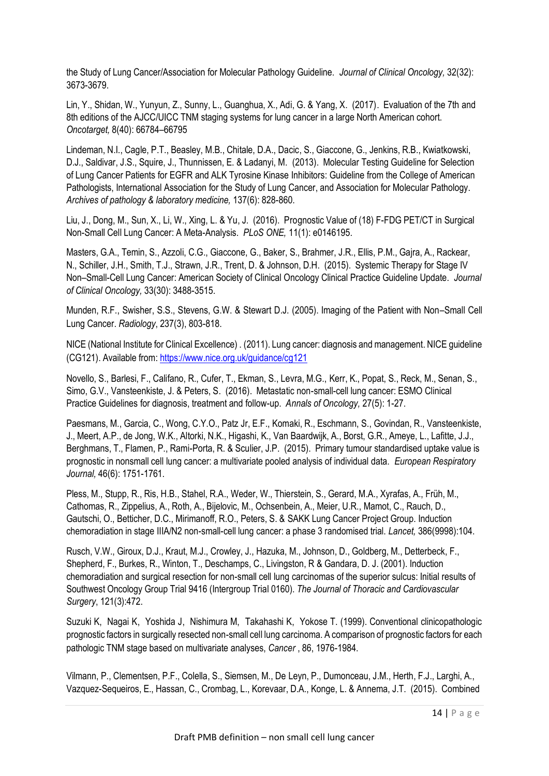the Study of Lung Cancer/Association for Molecular Pathology Guideline. *Journal of Clinical Oncology,* 32(32): 3673-3679.

Lin, Y., Shidan, W., Yunyun, Z., Sunny, L., Guanghua, X., Adi, G. & Yang, X. (2017). Evaluation of the 7th and 8th editions of the AJCC/UICC TNM staging systems for lung cancer in a large North American cohort. *Oncotarget,* 8(40): 66784–66795

Lindeman, N.I., Cagle, P.T., Beasley, M.B., Chitale, D.A., Dacic, S., Giaccone, G., Jenkins, R.B., Kwiatkowski, D.J., Saldivar, J.S., Squire, J., Thunnissen, E. & Ladanyi, M. (2013). Molecular Testing Guideline for Selection of Lung Cancer Patients for EGFR and ALK Tyrosine Kinase Inhibitors: Guideline from the College of American Pathologists, International Association for the Study of Lung Cancer, and Association for Molecular Pathology. *Archives of pathology & laboratory medicine,* 137(6): 828-860.

Liu, J., Dong, M., Sun, X., Li, W., Xing, L. & Yu, J. (2016). Prognostic Value of (18) F-FDG PET/CT in Surgical Non-Small Cell Lung Cancer: A Meta-Analysis. *PLoS ONE,* 11(1): e0146195.

Masters, G.A., Temin, S., Azzoli, C.G., Giaccone, G., Baker, S., Brahmer, J.R., Ellis, P.M., Gajra, A., Rackear, N., Schiller, J.H., Smith, T.J., Strawn, J.R., Trent, D. & Johnson, D.H. (2015). Systemic Therapy for Stage IV Non–Small-Cell Lung Cancer: American Society of Clinical Oncology Clinical Practice Guideline Update. *Journal of Clinical Oncology,* 33(30): 3488-3515.

Munden, R.F., Swisher, S.S., Stevens, G.W. & Stewart D.J. (2005). Imaging of the Patient with Non–Small Cell Lung Cancer. *Radiology*, 237(3), 803-818.

NICE (National Institute for Clinical Excellence) . (2011). Lung cancer: diagnosis and management. NICE guideline (CG121). Available from:<https://www.nice.org.uk/guidance/cg121>

Novello, S., Barlesi, F., Califano, R., Cufer, T., Ekman, S., Levra, M.G., Kerr, K., Popat, S., Reck, M., Senan, S., Simo, G.V., Vansteenkiste, J. & Peters, S. (2016). Metastatic non-small-cell lung cancer: ESMO Clinical Practice Guidelines for diagnosis, treatment and follow-up. *Annals of Oncology,* 27(5): 1-27.

Paesmans, M., Garcia, C., Wong, C.Y.O., Patz Jr, E.F., Komaki, R., Eschmann, S., Govindan, R., Vansteenkiste, J., Meert, A.P., de Jong, W.K., Altorki, N.K., Higashi, K., Van Baardwijk, A., Borst, G.R., Ameye, L., Lafitte, J.J., Berghmans, T., Flamen, P., Rami-Porta, R. & Sculier, J.P. (2015). Primary tumour standardised uptake value is prognostic in nonsmall cell lung cancer: a multivariate pooled analysis of individual data. *European Respiratory Journal,* 46(6): 1751-1761.

Pless, M., Stupp, R., Ris, H.B., Stahel, R.A., Weder, W., Thierstein, S., Gerard, M.A., Xyrafas, A., Früh, M., Cathomas, R., Zippelius, A., Roth, A., Bijelovic, M., Ochsenbein, A., Meier, U.R., Mamot, C., Rauch, D., Gautschi, O., Betticher, D.C., Mirimanoff, R.O., Peters, S. & SAKK Lung Cancer Project Group. Induction chemoradiation in stage IIIA/N2 non-small-cell lung cancer: a phase 3 randomised trial. *Lancet,* 386(9998):104.

Rusch, V.W., Giroux, D.J., Kraut, M.J., Crowley, J., Hazuka, M., Johnson, D., Goldberg, M., Detterbeck, F., Shepherd, F., Burkes, R., Winton, T., Deschamps, C., Livingston, R & Gandara, D. J. (2001). Induction chemoradiation and surgical resection for non-small cell lung carcinomas of the superior sulcus: Initial results of Southwest Oncology Group Trial 9416 (Intergroup Trial 0160). *The Journal of Thoracic and Cardiovascular Surgery*, 121(3):472.

Suzuki K, Nagai K, Yoshida J, Nishimura M, Takahashi K, Yokose T. (1999). Conventional clinicopathologic prognostic factors in surgically resected non-small cell lung carcinoma. A comparison of prognostic factors for each pathologic TNM stage based on multivariate analyses, *Cancer* , 86, 1976-1984.

Vilmann, P., Clementsen, P.F., Colella, S., Siemsen, M., De Leyn, P., Dumonceau, J.M., Herth, F.J., Larghi, A., Vazquez-Sequeiros, E., Hassan, C., Crombag, L., Korevaar, D.A., Konge, L. & Annema, J.T. (2015). Combined